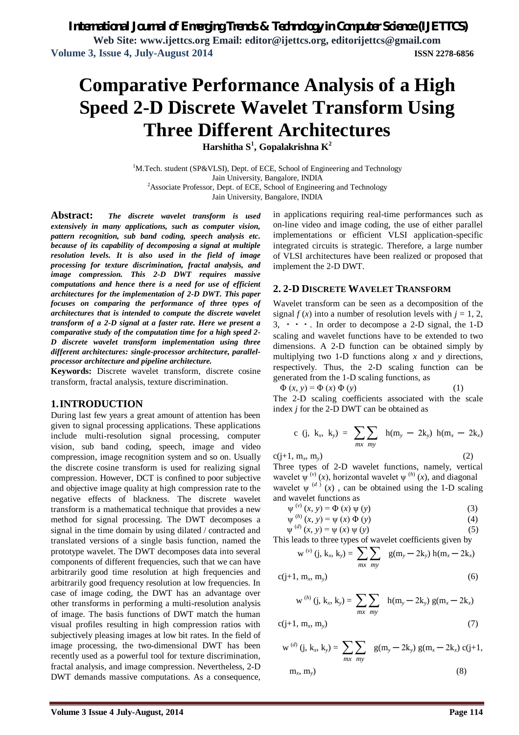# **Comparative Performance Analysis of a High Speed 2-D Discrete Wavelet Transform Using Three Different Architectures**

**Harshitha S<sup>1</sup> , Gopalakrishna K<sup>2</sup>**

<sup>1</sup>M.Tech. student (SP&VLSI), Dept. of ECE, School of Engineering and Technology Jain University, Bangalore, INDIA <sup>2</sup>Associate Professor, Dept. of ECE, School of Engineering and Technology Jain University, Bangalore, INDIA

**Abstract:** *The discrete wavelet transform is used extensively in many applications, such as computer vision, pattern recognition, sub band coding, speech analysis etc. because of its capability of decomposing a signal at multiple resolution levels. It is also used in the field of image processing for texture discrimination, fractal analysis, and image compression. This 2-D DWT requires massive computations and hence there is a need for use of efficient architectures for the implementation of 2-D DWT. This paper focuses on comparing the performance of three types of architectures that is intended to compute the discrete wavelet transform of a 2-D signal at a faster rate. Here we present a comparative study of the computation time for a high speed 2- D discrete wavelet transform implementation using three different architectures: single-processor architecture, parallelprocessor architecture and pipeline architecture.*

**Keywords:** Discrete wavelet transform, discrete cosine transform, fractal analysis, texture discrimination.

# **1.INTRODUCTION**

During last few years a great amount of attention has been given to signal processing applications. These applications include multi-resolution signal processing, computer vision, sub band coding, speech, image and video compression, image recognition system and so on. Usually the discrete cosine transform is used for realizing signal compression. However, DCT is confined to poor subjective and objective image quality at high compression rate to the negative effects of blackness. The discrete wavelet transform is a mathematical technique that provides a new method for signal processing. The DWT decomposes a signal in the time domain by using dilated / contracted and translated versions of a single basis function, named the prototype wavelet. The DWT decomposes data into several components of different frequencies, such that we can have arbitrarily good time resolution at high frequencies and arbitrarily good frequency resolution at low frequencies. In case of image coding, the DWT has an advantage over other transforms in performing a multi-resolution analysis of image. The basis functions of DWT match the human visual profiles resulting in high compression ratios with subjectively pleasing images at low bit rates. In the field of image processing, the two-dimensional DWT has been recently used as a powerful tool for texture discrimination, fractal analysis, and image compression. Nevertheless, 2-D DWT demands massive computations. As a consequence,

in applications requiring real-time performances such as on-line video and image coding, the use of either parallel implementations or efficient VLSI application-specific integrated circuits is strategic. Therefore, a large number of VLSI architectures have been realized or proposed that implement the 2-D DWT.

### **2. 2-D DISCRETE WAVELET TRANSFORM**

Wavelet transform can be seen as a decomposition of the signal  $f(x)$  into a number of resolution levels with  $j = 1, 2$ , 3,  $\cdot \cdot \cdot$ . In order to decompose a 2-D signal, the 1-D scaling and wavelet functions have to be extended to two dimensions. A 2-D function can be obtained simply by multiplying two 1-D functions along *x* and *y* directions, respectively. Thus, the 2-D scaling function can be generated from the 1-D scaling functions, as

$$
\Phi(x, y) = \Phi(x) \Phi(y)
$$
 (1)  
The 2-D scaling coefficients associated with the scale

index *j* for the 2-D DWT can be obtained as

c (j, k<sub>x</sub>, k<sub>y</sub>) = 
$$
\sum_{mx} \sum_{my}
$$
 h(m<sub>y</sub> - 2k<sub>y</sub>) h(m<sub>x</sub> - 2k<sub>x</sub>)

 $c(i+1, m_x, m_y)$  $(m_y)$  (2) Three types of 2-D wavelet functions, namely, vertical wavelet  $\psi^{(v)}(x)$ , horizontal wavelet  $\psi^{(h)}(x)$ , and diagonal wavelet  $\psi^{(d)}(x)$ , can be obtained using the 1-D scaling and wavelet functions as

$$
\psi^{(v)}(x, y) = \Phi(x) \psi(y)
$$
\n(3)

$$
\psi^{(h)}(x, y) = \psi(x) \Phi(y)
$$
 (4)

$$
\psi^{(d)}(x, y) = \psi(x) \psi(y)
$$
 (5)

This leads to three types of wavelet coefficients given by

$$
w^{(v)} (j, k_x, k_y) = \sum_{mx} \sum_{my} g(m_y - 2k_y) h(m_x - 2k_x)
$$

$$
c(j+1, m_x, m_y) \tag{6}
$$

$$
w^{(h)} (j, k_x, k_y) = \sum_{mx} \sum_{my} h(m_y - 2k_y) g(m_x - 2k_x)
$$

$$
c(j+1, m_x, m_y) \tag{7}
$$

$$
w^{(d)} (j, k_x, k_y) = \sum_{mx} \sum_{my} g(m_y - 2k_y) g(m_x - 2k_x) c(j+1, m_x, m_y)
$$
 (8)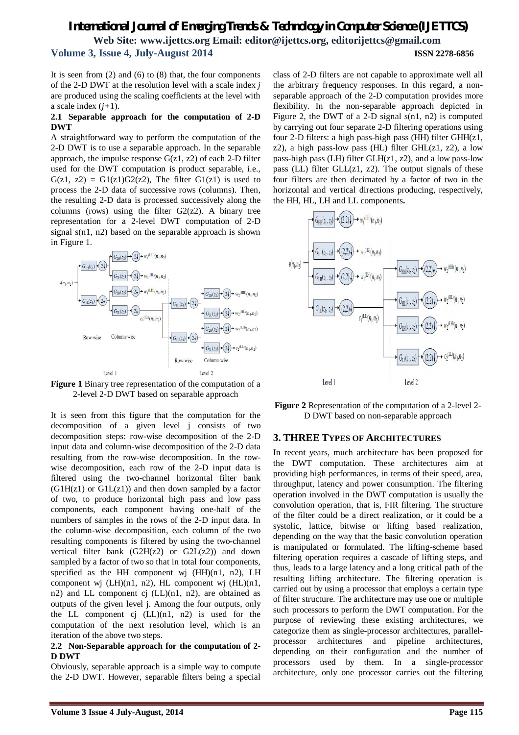# *International Journal of Emerging Trends & Technology in Computer Science (IJETTCS)* **Web Site: www.ijettcs.org Email: editor@ijettcs.org, editorijettcs@gmail.com Volume 3, Issue 4, July-August 2014 ISSN 2278-6856**

It is seen from  $(2)$  and  $(6)$  to  $(8)$  that, the four components of the 2-D DWT at the resolution level with a scale index *j*  are produced using the scaling coefficients at the level with a scale index  $(j+1)$ .

### **2.1 Separable approach for the computation of 2-D DWT**

A straightforward way to perform the computation of the 2-D DWT is to use a separable approach. In the separable approach, the impulse response  $G(z1, z2)$  of each 2-D filter used for the DWT computation is product separable, i.e.,  $G(z1, z2) = G1(z1)G2(z2)$ , The filter  $G1(z1)$  is used to process the 2-D data of successive rows (columns). Then, the resulting 2-D data is processed successively along the columns (rows) using the filter  $G2(z2)$ . A binary tree representation for a 2-level DWT computation of 2-D signal s(n1, n2) based on the separable approach is shown in Figure 1.



**Figure 1** Binary tree representation of the computation of a 2-level 2-D DWT based on separable approach

It is seen from this figure that the computation for the decomposition of a given level j consists of two decomposition steps: row-wise decomposition of the 2-D input data and column-wise decomposition of the 2-D data resulting from the row-wise decomposition. In the rowwise decomposition, each row of the 2-D input data is filtered using the two-channel horizontal filter bank  $(G1H(z1)$  or  $G1L(z1)$  and then down sampled by a factor of two, to produce horizontal high pass and low pass components, each component having one-half of the numbers of samples in the rows of the 2-D input data. In the column-wise decomposition, each column of the two resulting components is filtered by using the two-channel vertical filter bank  $(G2H(z2)$  or  $G2L(z2)$  and down sampled by a factor of two so that in total four components, specified as the HH component wj (HH)(n1, n2), LH component wj  $(LH)(n1, n2)$ , HL component wj  $(HL)(n1, n3)$ n2) and LL component cj (LL)(n1, n2), are obtained as outputs of the given level j. Among the four outputs, only the LL component cj  $(LL)(n1, n2)$  is used for the computation of the next resolution level, which is an iteration of the above two steps.

### **2.2 Non-Separable approach for the computation of 2- D DWT**

Obviously, separable approach is a simple way to compute the 2-D DWT. However, separable filters being a special

class of 2-D filters are not capable to approximate well all the arbitrary frequency responses. In this regard, a nonseparable approach of the 2-D computation provides more flexibility. In the non-separable approach depicted in Figure 2, the DWT of a 2-D signal s(n1, n2) is computed by carrying out four separate 2-D filtering operations using four 2-D filters: a high pass-high pass (HH) filter GHH(z1, z2), a high pass-low pass (HL) filter  $GHL(z1, z2)$ , a low pass-high pass (LH) filter GLH(z1, z2), and a low pass-low pass (LL) filter  $GLL(z1, z2)$ . The output signals of these four filters are then decimated by a factor of two in the horizontal and vertical directions producing, respectively, the HH, HL, LH and LL components**.**



**Figure 2** Representation of the computation of a 2-level 2- D DWT based on non-separable approach

### **3. THREE TYPES OF ARCHITECTURES**

In recent years, much architecture has been proposed for the DWT computation. These architectures aim at providing high performances, in terms of their speed, area, throughput, latency and power consumption. The filtering operation involved in the DWT computation is usually the convolution operation, that is, FIR filtering. The structure of the filter could be a direct realization, or it could be a systolic, lattice, bitwise or lifting based realization, depending on the way that the basic convolution operation is manipulated or formulated. The lifting-scheme based filtering operation requires a cascade of lifting steps, and thus, leads to a large latency and a long critical path of the resulting lifting architecture. The filtering operation is carried out by using a processor that employs a certain type of filter structure. The architecture may use one or multiple such processors to perform the DWT computation. For the purpose of reviewing these existing architectures, we categorize them as single-processor architectures, parallelprocessor architectures and pipeline architectures, depending on their configuration and the number of processors used by them. In a single-processor architecture, only one processor carries out the filtering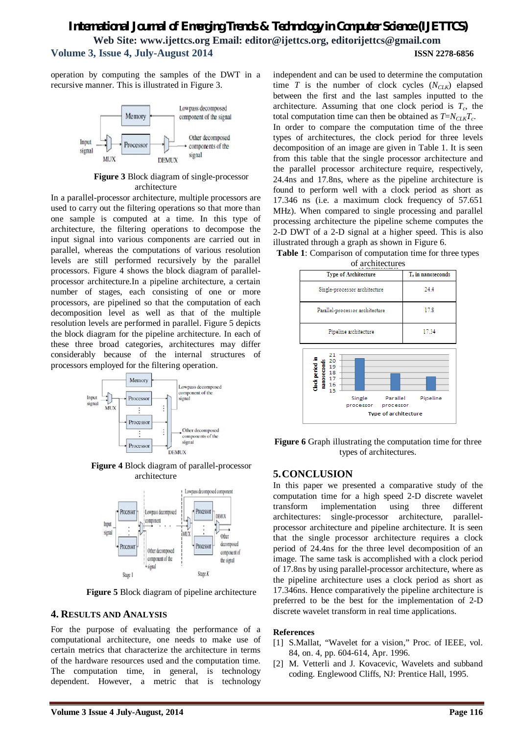# *International Journal of Emerging Trends & Technology in Computer Science (IJETTCS)* **Web Site: www.ijettcs.org Email: editor@ijettcs.org, editorijettcs@gmail.com Volume 3, Issue 4, July-August 2014 ISSN 2278-6856**

operation by computing the samples of the DWT in a recursive manner. This is illustrated in Figure 3.



**Figure 3** Block diagram of single-processor architecture

In a parallel-processor architecture, multiple processors are used to carry out the filtering operations so that more than one sample is computed at a time. In this type of architecture, the filtering operations to decompose the input signal into various components are carried out in parallel, whereas the computations of various resolution levels are still performed recursively by the parallel processors. Figure 4 shows the block diagram of parallelprocessor architecture.In a pipeline architecture, a certain number of stages, each consisting of one or more processors, are pipelined so that the computation of each decomposition level as well as that of the multiple resolution levels are performed in parallel. Figure 5 depicts the block diagram for the pipeline architecture. In each of these three broad categories, architectures may differ considerably because of the internal structures of processors employed for the filtering operation.



**Figure 4** Block diagram of parallel-processor architecture



**Figure 5** Block diagram of pipeline architecture

# **4. RESULTS AND ANALYSIS**

For the purpose of evaluating the performance of a computational architecture, one needs to make use of certain metrics that characterize the architecture in terms of the hardware resources used and the computation time. The computation time, in general, is technology dependent. However, a metric that is technology

independent and can be used to determine the computation time *T* is the number of clock cycles  $(N_{C1K})$  elapsed between the first and the last samples inputted to the architecture. Assuming that one clock period is  $T_c$ , the total computation time can then be obtained as *T*=*NCLKT<sup>c</sup>* . In order to compare the computation time of the three types of architectures, the clock period for three levels decomposition of an image are given in Table 1. It is seen from this table that the single processor architecture and the parallel processor architecture require, respectively, 24.4ns and 17.8ns, where as the pipeline architecture is found to perform well with a clock period as short as 17.346 ns (i.e. a maximum clock frequency of 57.651 MHz). When compared to single processing and parallel processing architecture the pipeline scheme computes the 2-D DWT of a 2-D signal at a higher speed. This is also illustrated through a graph as shown in Figure 6.





**Figure 6** Graph illustrating the computation time for three types of architectures.

# **5.CONCLUSION**

In this paper we presented a comparative study of the computation time for a high speed 2-D discrete wavelet transform implementation using three different architectures: single-processor architecture, parallelprocessor architecture and pipeline architecture. It is seen that the single processor architecture requires a clock period of 24.4ns for the three level decomposition of an image. The same task is accomplished with a clock period of 17.8ns by using parallel-processor architecture, where as the pipeline architecture uses a clock period as short as 17.346ns. Hence comparatively the pipeline architecture is preferred to be the best for the implementation of 2-D discrete wavelet transform in real time applications.

### **References**

- [1] S.Mallat, "Wavelet for a vision," Proc. of IEEE, vol. 84, on. 4, pp. 604-614, Apr. 1996.
- [2] M. Vetterli and J. Kovacevic, Wavelets and subband coding. Englewood Cliffs, NJ: Prentice Hall, 1995.